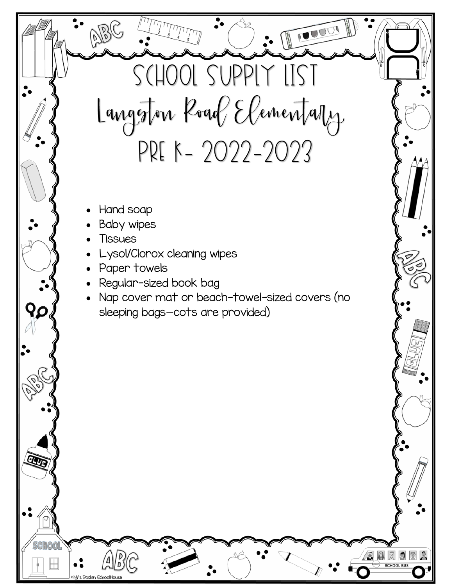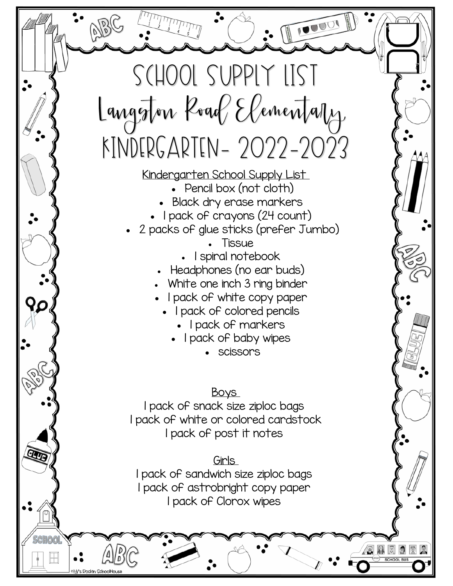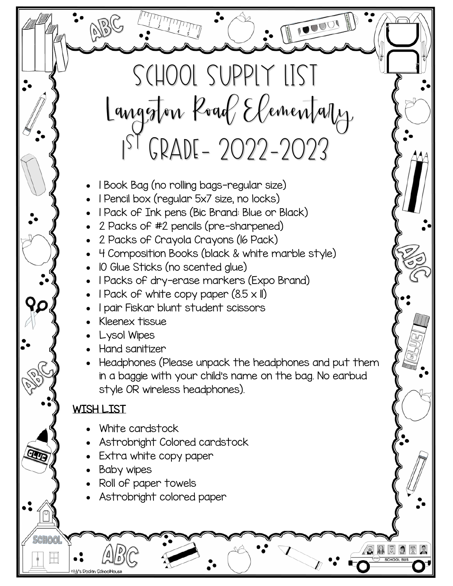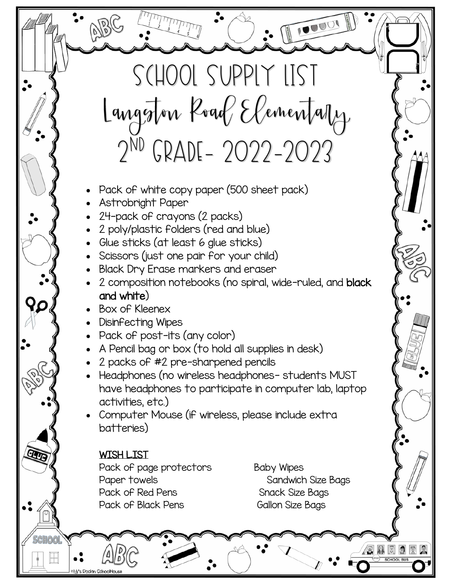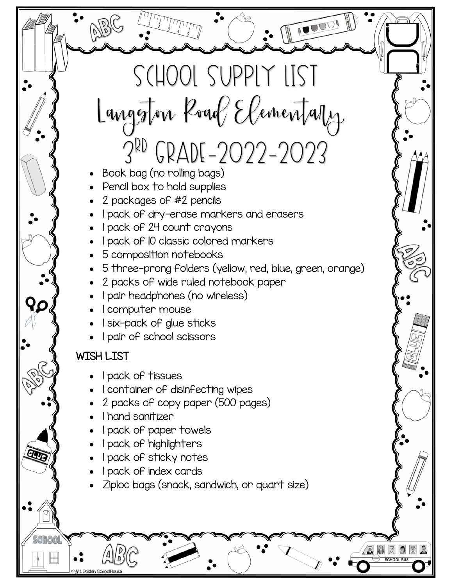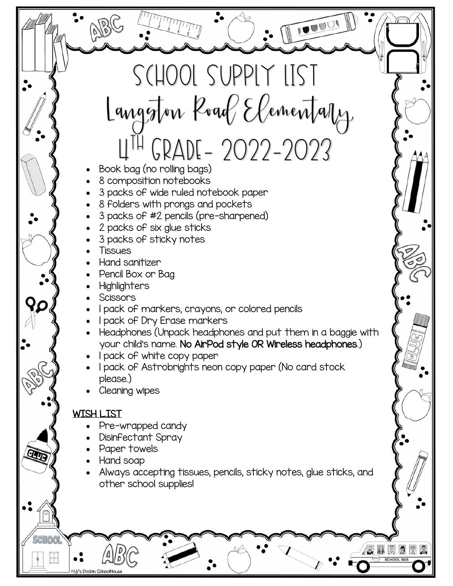